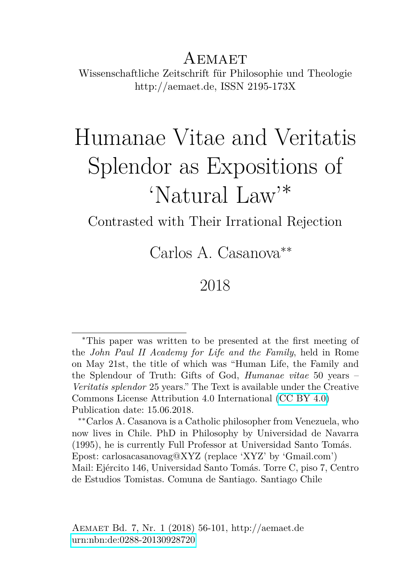## AEMAET Wissenschaftliche Zeitschrift für Philosophie und Theologie http://aemaet.de, ISSN 2195-173X

# Humanae Vitae and Veritatis Splendor as Expositions of 'Natural Law'<sup>∗</sup>

Contrasted with Their Irrational Rejection

Carlos A. Casanova∗∗

## 2018

<sup>∗</sup>This paper was written to be presented at the first meeting of the *John Paul II Academy for Life and the Family*, held in Rome on May 21st, the title of which was "Human Life, the Family and the Splendour of Truth: Gifts of God, *Humanae vitae* 50 years – *Veritatis splendor* 25 years." The Text is available under the Creative Commons License Attribution 4.0 International [\(CC BY 4.0\)](https://creativecommons.org/licenses/by/4.0/deed.en) Publication date: 15.06.2018.

<sup>∗∗</sup>Carlos A. Casanova is a Catholic philosopher from Venezuela, who now lives in Chile. PhD in Philosophy by Universidad de Navarra (1995), he is currently Full Professor at Universidad Santo Tomás. Epost: carlosacasanovag@XYZ (replace 'XYZ' by 'Gmail.com') Mail: Ejército 146, Universidad Santo Tomás. Torre C, piso 7, Centro de Estudios Tomistas. Comuna de Santiago. Santiago Chile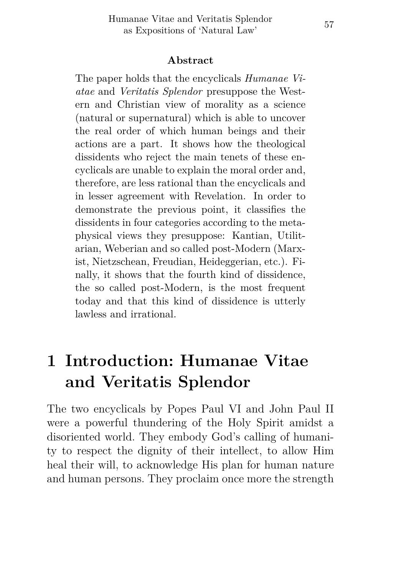#### **Abstract**

The paper holds that the encyclicals *Humanae Viatae* and *Veritatis Splendor* presuppose the Western and Christian view of morality as a science (natural or supernatural) which is able to uncover the real order of which human beings and their actions are a part. It shows how the theological dissidents who reject the main tenets of these encyclicals are unable to explain the moral order and, therefore, are less rational than the encyclicals and in lesser agreement with Revelation. In order to demonstrate the previous point, it classifies the dissidents in four categories according to the metaphysical views they presuppose: Kantian, Utilitarian, Weberian and so called post-Modern (Marxist, Nietzschean, Freudian, Heideggerian, etc.). Finally, it shows that the fourth kind of dissidence, the so called post-Modern, is the most frequent today and that this kind of dissidence is utterly lawless and irrational.

# **1 Introduction: Humanae Vitae and Veritatis Splendor**

The two encyclicals by Popes Paul VI and John Paul II were a powerful thundering of the Holy Spirit amidst a disoriented world. They embody God's calling of humanity to respect the dignity of their intellect, to allow Him heal their will, to acknowledge His plan for human nature and human persons. They proclaim once more the strength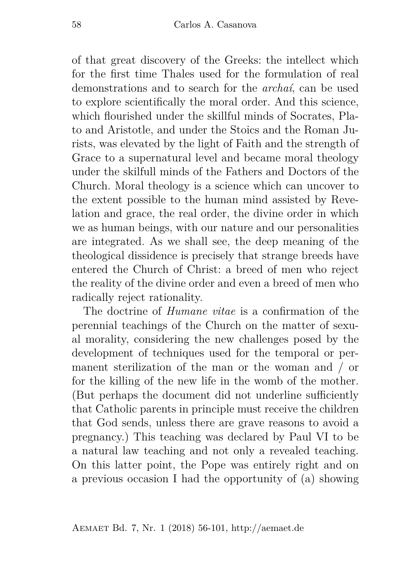of that great discovery of the Greeks: the intellect which for the first time Thales used for the formulation of real demonstrations and to search for the *archaí*, can be used to explore scientifically the moral order. And this science, which flourished under the skillful minds of Socrates, Plato and Aristotle, and under the Stoics and the Roman Jurists, was elevated by the light of Faith and the strength of Grace to a supernatural level and became moral theology under the skilfull minds of the Fathers and Doctors of the Church. Moral theology is a science which can uncover to the extent possible to the human mind assisted by Revelation and grace, the real order, the divine order in which we as human beings, with our nature and our personalities are integrated. As we shall see, the deep meaning of the theological dissidence is precisely that strange breeds have entered the Church of Christ: a breed of men who reject the reality of the divine order and even a breed of men who radically reject rationality.

The doctrine of *Humane vitae* is a confirmation of the perennial teachings of the Church on the matter of sexual morality, considering the new challenges posed by the development of techniques used for the temporal or permanent sterilization of the man or the woman and / or for the killing of the new life in the womb of the mother. (But perhaps the document did not underline sufficiently that Catholic parents in principle must receive the children that God sends, unless there are grave reasons to avoid a pregnancy.) This teaching was declared by Paul VI to be a natural law teaching and not only a revealed teaching. On this latter point, the Pope was entirely right and on a previous occasion I had the opportunity of (a) showing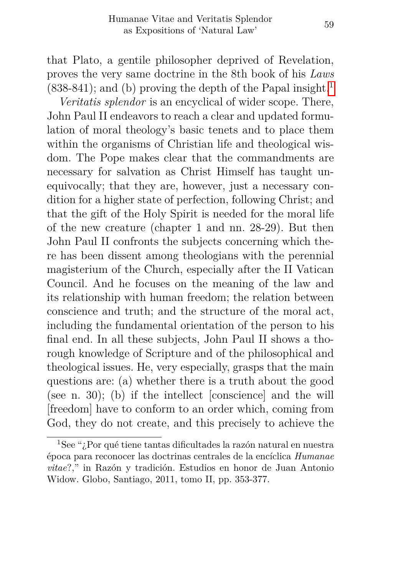that Plato, a gentile philosopher deprived of Revelation, proves the very same doctrine in the 8th book of his *Laws*  $(838-841)$  $(838-841)$  $(838-841)$ ; and (b) proving the depth of the Papal insight.<sup>1</sup>

*Veritatis splendor* is an encyclical of wider scope. There, John Paul II endeavors to reach a clear and updated formulation of moral theology's basic tenets and to place them within the organisms of Christian life and theological wisdom. The Pope makes clear that the commandments are necessary for salvation as Christ Himself has taught unequivocally; that they are, however, just a necessary condition for a higher state of perfection, following Christ; and that the gift of the Holy Spirit is needed for the moral life of the new creature (chapter 1 and nn. 28-29). But then John Paul II confronts the subjects concerning which there has been dissent among theologians with the perennial magisterium of the Church, especially after the II Vatican Council. And he focuses on the meaning of the law and its relationship with human freedom; the relation between conscience and truth; and the structure of the moral act, including the fundamental orientation of the person to his final end. In all these subjects, John Paul II shows a thorough knowledge of Scripture and of the philosophical and theological issues. He, very especially, grasps that the main questions are: (a) whether there is a truth about the good (see n. 30); (b) if the intellect [conscience] and the will [freedom] have to conform to an order which, coming from God, they do not create, and this precisely to achieve the

<span id="page-3-0"></span><sup>1</sup>See "¿Por qué tiene tantas dificultades la razón natural en nuestra época para reconocer las doctrinas centrales de la encíclica *Humanae vitae*?," in Razón y tradición. Estudios en honor de Juan Antonio Widow. Globo, Santiago, 2011, tomo II, pp. 353-377.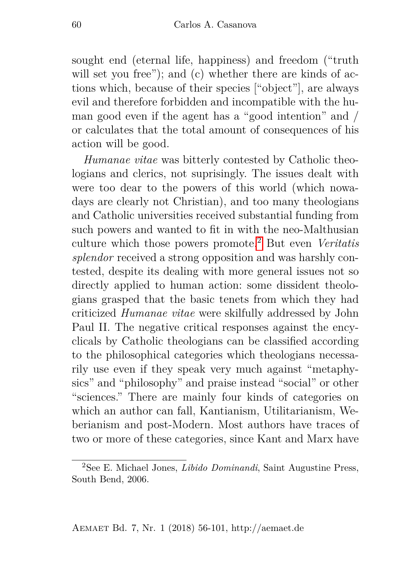sought end (eternal life, happiness) and freedom ("truth will set you free"); and (c) whether there are kinds of actions which, because of their species ["object"], are always evil and therefore forbidden and incompatible with the human good even if the agent has a "good intention" and / or calculates that the total amount of consequences of his action will be good.

*Humanae vitae* was bitterly contested by Catholic theologians and clerics, not suprisingly. The issues dealt with were too dear to the powers of this world (which nowadays are clearly not Christian), and too many theologians and Catholic universities received substantial funding from such powers and wanted to fit in with the neo-Malthusian culture which those powers promote.[2](#page-4-0) But even *Veritatis splendor* received a strong opposition and was harshly contested, despite its dealing with more general issues not so directly applied to human action: some dissident theologians grasped that the basic tenets from which they had criticized *Humanae vitae* were skilfully addressed by John Paul II. The negative critical responses against the encyclicals by Catholic theologians can be classified according to the philosophical categories which theologians necessarily use even if they speak very much against "metaphysics" and "philosophy" and praise instead "social" or other "sciences." There are mainly four kinds of categories on which an author can fall, Kantianism, Utilitarianism, Weberianism and post-Modern. Most authors have traces of two or more of these categories, since Kant and Marx have

<span id="page-4-0"></span><sup>2</sup>See E. Michael Jones, *Libido Dominandi*, Saint Augustine Press, South Bend, 2006.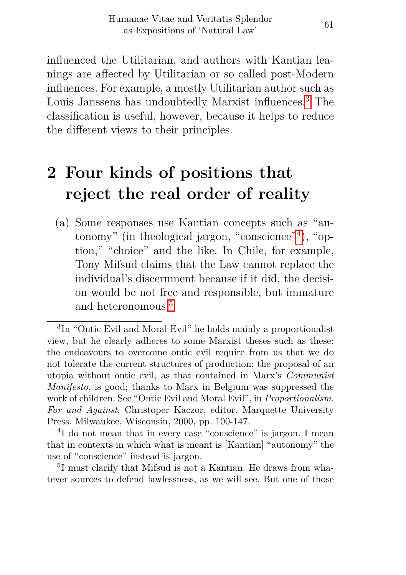influenced the Utilitarian, and authors with Kantian leanings are affected by Utilitarian or so called post-Modern influences. For example, a mostly Utilitarian author such as Louis Janssens has undoubtedly Marxist influences.[3](#page-5-0) The classification is useful, however, because it helps to reduce the different views to their principles.

# **2 Four kinds of positions that reject the real order of reality**

(a) Some responses use Kantian concepts such as "autonomy" (in theological jargon, "conscience"[4](#page-5-1) ), "option," "choice" and the like. In Chile, for example, Tony Mifsud claims that the Law cannot replace the individual's discernment because if it did, the decision would be not free and responsible, but immature and heteronomous.<sup>[5](#page-5-2)</sup>

<span id="page-5-1"></span>4 I do not mean that in every case "conscience" is jargon. I mean that in contexts in which what is meant is [Kantian] "autonomy" the use of "conscience" instead is jargon.

<span id="page-5-0"></span><sup>3</sup> In "Ontic Evil and Moral Evil" he holds mainly a proportionalist view, but he clearly adheres to some Marxist theses such as these: the endeavours to overcome ontic evil require from us that we do not tolerate the current structures of production; the proposal of an utopia without ontic evil, as that contained in Marx's *Communist Manifesto*, is good; thanks to Marx in Belgium was suppressed the work of children. See "Ontic Evil and Moral Evil", in *Proportionalism*. *For and Against*, Christoper Kaczor, editor. Marquette University Press. Milwaukee, Wisconsin, 2000, pp. 100-147.

<span id="page-5-2"></span><sup>5</sup> I must clarify that Mifsud is not a Kantian. He draws from whatever sources to defend lawlessness, as we will see. But one of those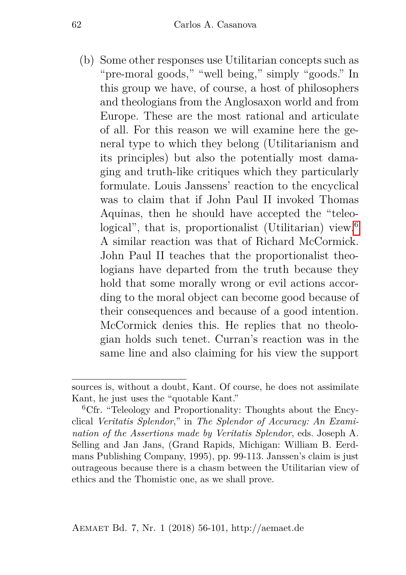(b) Some other responses use Utilitarian concepts such as "pre-moral goods," "well being," simply "goods." In this group we have, of course, a host of philosophers and theologians from the Anglosaxon world and from Europe. These are the most rational and articulate of all. For this reason we will examine here the general type to which they belong (Utilitarianism and its principles) but also the potentially most damaging and truth-like critiques which they particularly formulate. Louis Janssens' reaction to the encyclical was to claim that if John Paul II invoked Thomas Aquinas, then he should have accepted the "teleo-logical", that is, proportionalist (Utilitarian) view.<sup>[6](#page-6-0)</sup> A similar reaction was that of Richard McCormick. John Paul II teaches that the proportionalist theologians have departed from the truth because they hold that some morally wrong or evil actions according to the moral object can become good because of their consequences and because of a good intention. McCormick denies this. He replies that no theologian holds such tenet. Curran's reaction was in the same line and also claiming for his view the support

sources is, without a doubt, Kant. Of course, he does not assimilate Kant, he just uses the "quotable Kant."

<span id="page-6-0"></span> ${}^{6}$ Cfr. "Teleology and Proportionality: Thoughts about the Encyclical *Veritatis Splendor*," in *The Splendor of Accuracy: An Examination of the Assertions made by Veritatis Splendor*, eds. Joseph A. Selling and Jan Jans, (Grand Rapids, Michigan: William B. Eerdmans Publishing Company, 1995), pp. 99-113. Janssen's claim is just outrageous because there is a chasm between the Utilitarian view of ethics and the Thomistic one, as we shall prove.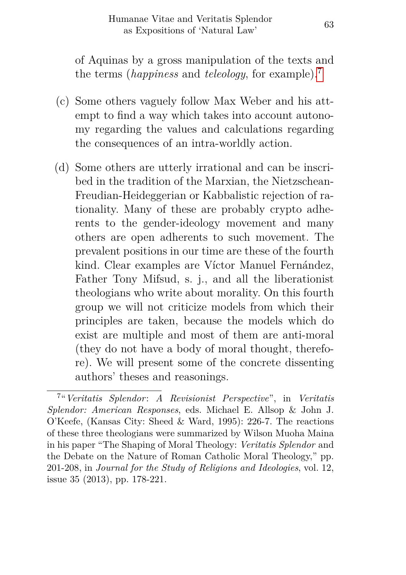of Aquinas by a gross manipulation of the texts and the terms (*happiness* and *teleology*, for example).[7](#page-7-0)

- (c) Some others vaguely follow Max Weber and his attempt to find a way which takes into account autonomy regarding the values and calculations regarding the consequences of an intra-worldly action.
- (d) Some others are utterly irrational and can be inscribed in the tradition of the Marxian, the Nietzschean-Freudian-Heideggerian or Kabbalistic rejection of rationality. Many of these are probably crypto adherents to the gender-ideology movement and many others are open adherents to such movement. The prevalent positions in our time are these of the fourth kind. Clear examples are Víctor Manuel Fernández, Father Tony Mifsud, s. j., and all the liberationist theologians who write about morality. On this fourth group we will not criticize models from which their principles are taken, because the models which do exist are multiple and most of them are anti-moral (they do not have a body of moral thought, therefore). We will present some of the concrete dissenting authors' theses and reasonings.

<span id="page-7-0"></span><sup>7</sup> "*Veritatis Splendor*: *A Revisionist Perspective*", in *Veritatis Splendor: American Responses*, eds. Michael E. Allsop & John J. O'Keefe, (Kansas City: Sheed & Ward, 1995): 226-7. The reactions of these three theologians were summarized by Wilson Muoha Maina in his paper "The Shaping of Moral Theology: *Veritatis Splendor* and the Debate on the Nature of Roman Catholic Moral Theology," pp. 201-208, in *Journal for the Study of Religions and Ideologies*, vol. 12, issue 35 (2013), pp. 178-221.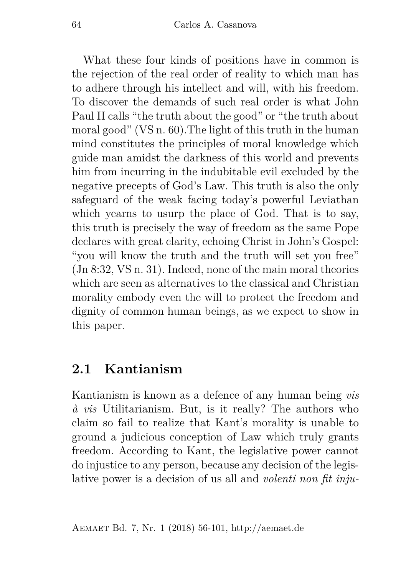What these four kinds of positions have in common is the rejection of the real order of reality to which man has to adhere through his intellect and will, with his freedom. To discover the demands of such real order is what John Paul II calls "the truth about the good" or "the truth about moral good" (VS n. 60).The light of this truth in the human mind constitutes the principles of moral knowledge which guide man amidst the darkness of this world and prevents him from incurring in the indubitable evil excluded by the negative precepts of God's Law. This truth is also the only safeguard of the weak facing today's powerful Leviathan which yearns to usurp the place of God. That is to say, this truth is precisely the way of freedom as the same Pope declares with great clarity, echoing Christ in John's Gospel: "you will know the truth and the truth will set you free" (Jn 8:32, VS n. 31). Indeed, none of the main moral theories which are seen as alternatives to the classical and Christian morality embody even the will to protect the freedom and dignity of common human beings, as we expect to show in this paper.

### **2.1 Kantianism**

Kantianism is known as a defence of any human being *vis à vis* Utilitarianism. But, is it really? The authors who claim so fail to realize that Kant's morality is unable to ground a judicious conception of Law which truly grants freedom. According to Kant, the legislative power cannot do injustice to any person, because any decision of the legislative power is a decision of us all and *volenti non fit inju-*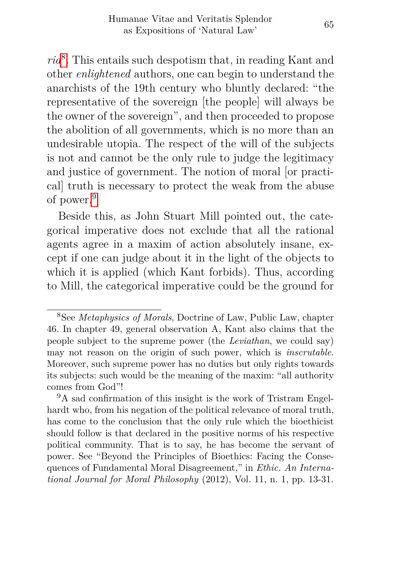*ria*[8](#page-9-0) . This entails such despotism that, in reading Kant and other *enlightened* authors, one can begin to understand the anarchists of the 19th century who bluntly declared: "the representative of the sovereign [the people] will always be the owner of the sovereign", and then proceeded to propose the abolition of all governments, which is no more than an undesirable utopia. The respect of the will of the subjects is not and cannot be the only rule to judge the legitimacy and justice of government. The notion of moral [or practical] truth is necessary to protect the weak from the abuse of power.[9](#page-9-1)

Beside this, as John Stuart Mill pointed out, the categorical imperative does not exclude that all the rational agents agree in a maxim of action absolutely insane, except if one can judge about it in the light of the objects to which it is applied (which Kant forbids). Thus, according to Mill, the categorical imperative could be the ground for

<span id="page-9-0"></span><sup>8</sup>See *Metaphysics of Morals*, Doctrine of Law, Public Law, chapter 46. In chapter 49, general observation A, Kant also claims that the people subject to the supreme power (the *Leviathan*, we could say) may not reason on the origin of such power, which is *inscrutable*. Moreover, such supreme power has no duties but only rights towards its subjects: such would be the meaning of the maxim: "all authority comes from God"!

<span id="page-9-1"></span><sup>&</sup>lt;sup>9</sup>A sad confirmation of this insight is the work of Tristram Engelhardt who, from his negation of the political relevance of moral truth, has come to the conclusion that the only rule which the bioethicist should follow is that declared in the positive norms of his respective political community. That is to say, he has become the servant of power. See "Beyond the Principles of Bioethics: Facing the Consequences of Fundamental Moral Disagreement," in *Ethic. An International Journal for Moral Philosophy* (2012), Vol. 11, n. 1, pp. 13-31.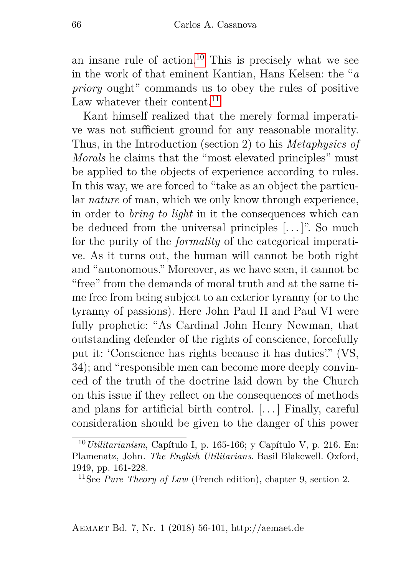an insane rule of action.<sup>[10](#page-10-0)</sup> This is precisely what we see in the work of that eminent Kantian, Hans Kelsen: the "*a priory* ought" commands us to obey the rules of positive Law whatever their content.<sup>[11](#page-10-1)</sup>

Kant himself realized that the merely formal imperative was not sufficient ground for any reasonable morality. Thus, in the Introduction (section 2) to his *Metaphysics of Morals* he claims that the "most elevated principles" must be applied to the objects of experience according to rules. In this way, we are forced to "take as an object the particular *nature* of man, which we only know through experience, in order to *bring to light* in it the consequences which can be deduced from the universal principles [...]". So much for the purity of the *formality* of the categorical imperative. As it turns out, the human will cannot be both right and "autonomous." Moreover, as we have seen, it cannot be "free" from the demands of moral truth and at the same time free from being subject to an exterior tyranny (or to the tyranny of passions). Here John Paul II and Paul VI were fully prophetic: "As Cardinal John Henry Newman, that outstanding defender of the rights of conscience, forcefully put it: 'Conscience has rights because it has duties'." (VS, 34); and "responsible men can become more deeply convinced of the truth of the doctrine laid down by the Church on this issue if they reflect on the consequences of methods and plans for artificial birth control. [. . . ] Finally, careful consideration should be given to the danger of this power

<span id="page-10-0"></span><sup>10</sup>*Utilitarianism*, Capítulo I, p. 165-166; y Capítulo V, p. 216. En: Plamenatz, John*. The English Utilitarians*. Basil Blakcwell. Oxford, 1949, pp. 161-228.

<span id="page-10-1"></span><sup>11</sup>See *Pure Theory of Law* (French edition), chapter 9, section 2.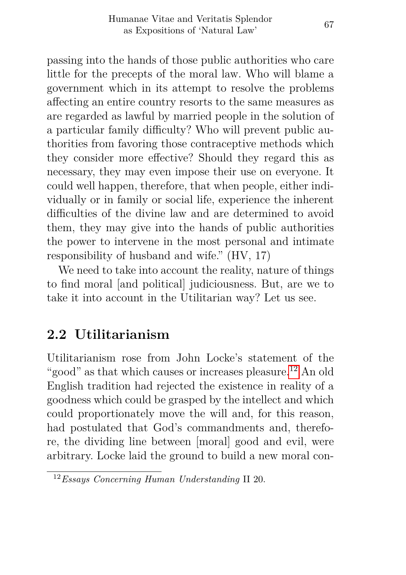passing into the hands of those public authorities who care little for the precepts of the moral law. Who will blame a government which in its attempt to resolve the problems affecting an entire country resorts to the same measures as are regarded as lawful by married people in the solution of a particular family difficulty? Who will prevent public authorities from favoring those contraceptive methods which they consider more effective? Should they regard this as necessary, they may even impose their use on everyone. It could well happen, therefore, that when people, either individually or in family or social life, experience the inherent difficulties of the divine law and are determined to avoid them, they may give into the hands of public authorities the power to intervene in the most personal and intimate responsibility of husband and wife." (HV, 17)

We need to take into account the reality, nature of things to find moral [and political] judiciousness. But, are we to take it into account in the Utilitarian way? Let us see.

## **2.2 Utilitarianism**

Utilitarianism rose from John Locke's statement of the "good" as that which causes or increases pleasure.<sup>[12](#page-11-0)</sup> An old English tradition had rejected the existence in reality of a goodness which could be grasped by the intellect and which could proportionately move the will and, for this reason, had postulated that God's commandments and, therefore, the dividing line between [moral] good and evil, were arbitrary. Locke laid the ground to build a new moral con-

<span id="page-11-0"></span><sup>12</sup>*Essays Concerning Human Understanding* II 20.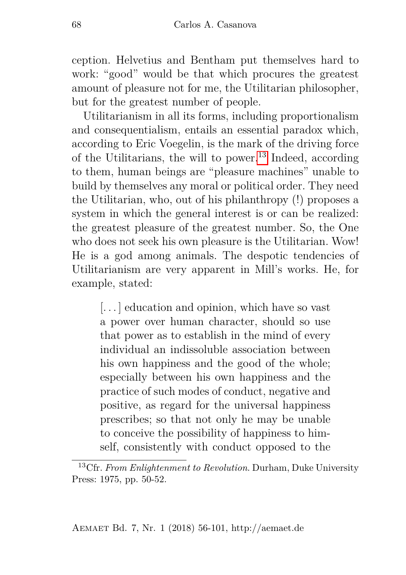ception. Helvetius and Bentham put themselves hard to work: "good" would be that which procures the greatest amount of pleasure not for me, the Utilitarian philosopher, but for the greatest number of people.

Utilitarianism in all its forms, including proportionalism and consequentialism, entails an essential paradox which, according to Eric Voegelin, is the mark of the driving force of the Utilitarians, the will to power.<sup>[13](#page-12-0)</sup> Indeed, according to them, human beings are "pleasure machines" unable to build by themselves any moral or political order. They need the Utilitarian, who, out of his philanthropy (!) proposes a system in which the general interest is or can be realized: the greatest pleasure of the greatest number. So, the One who does not seek his own pleasure is the Utilitarian. Wow! He is a god among animals. The despotic tendencies of Utilitarianism are very apparent in Mill's works. He, for example, stated:

[...] education and opinion, which have so vast a power over human character, should so use that power as to establish in the mind of every individual an indissoluble association between his own happiness and the good of the whole; especially between his own happiness and the practice of such modes of conduct, negative and positive, as regard for the universal happiness prescribes; so that not only he may be unable to conceive the possibility of happiness to himself, consistently with conduct opposed to the

<span id="page-12-0"></span><sup>13</sup>Cfr. *From Enlightenment to Revolution*. Durham, Duke University Press: 1975, pp. 50-52.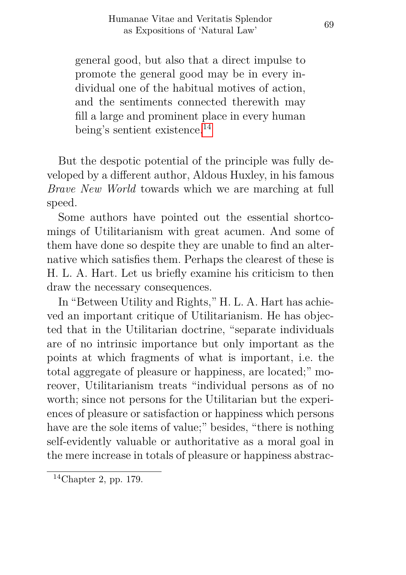general good, but also that a direct impulse to promote the general good may be in every individual one of the habitual motives of action, and the sentiments connected therewith may fill a large and prominent place in every human being's sentient existence.[14](#page-13-0)

But the despotic potential of the principle was fully developed by a different author, Aldous Huxley, in his famous *Brave New World* towards which we are marching at full speed.

Some authors have pointed out the essential shortcomings of Utilitarianism with great acumen. And some of them have done so despite they are unable to find an alternative which satisfies them. Perhaps the clearest of these is H. L. A. Hart. Let us briefly examine his criticism to then draw the necessary consequences.

In "Between Utility and Rights," H. L. A. Hart has achieved an important critique of Utilitarianism. He has objected that in the Utilitarian doctrine, "separate individuals are of no intrinsic importance but only important as the points at which fragments of what is important, i.e. the total aggregate of pleasure or happiness, are located;" moreover, Utilitarianism treats "individual persons as of no worth; since not persons for the Utilitarian but the experiences of pleasure or satisfaction or happiness which persons have are the sole items of value;" besides, "there is nothing self-evidently valuable or authoritative as a moral goal in the mere increase in totals of pleasure or happiness abstrac-

<span id="page-13-0"></span><sup>14</sup>Chapter 2, pp. 179.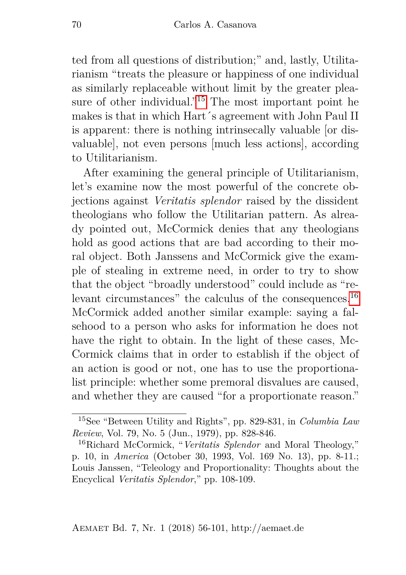ted from all questions of distribution;" and, lastly, Utilitarianism "treats the pleasure or happiness of one individual as similarly replaceable without limit by the greater pleasure of other individual. $15$  The most important point he makes is that in which Hart´s agreement with John Paul II is apparent: there is nothing intrinsecally valuable [or disvaluable], not even persons [much less actions], according to Utilitarianism.

After examining the general principle of Utilitarianism, let's examine now the most powerful of the concrete objections against *Veritatis splendor* raised by the dissident theologians who follow the Utilitarian pattern. As already pointed out, McCormick denies that any theologians hold as good actions that are bad according to their moral object. Both Janssens and McCormick give the example of stealing in extreme need, in order to try to show that the object "broadly understood" could include as "relevant circumstances" the calculus of the consequences.[16](#page-14-1) McCormick added another similar example: saying a falsehood to a person who asks for information he does not have the right to obtain. In the light of these cases, Mc-Cormick claims that in order to establish if the object of an action is good or not, one has to use the proportionalist principle: whether some premoral disvalues are caused, and whether they are caused "for a proportionate reason."

<span id="page-14-0"></span><sup>15</sup>See "Between Utility and Rights", pp. 829-831, in *Columbia Law Review*, Vol. 79, No. 5 (Jun., 1979), pp. 828-846.

<span id="page-14-1"></span><sup>16</sup>Richard McCormick, "*Veritatis Splendor* and Moral Theology," p. 10, in *America* (October 30, 1993, Vol. 169 No. 13), pp. 8-11.; Louis Janssen, "Teleology and Proportionality: Thoughts about the Encyclical *Veritatis Splendor*," pp. 108-109.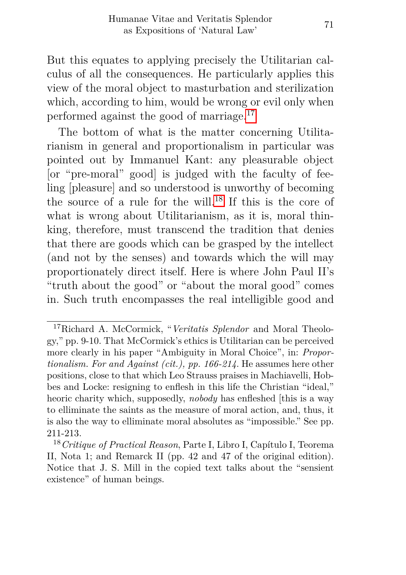But this equates to applying precisely the Utilitarian calculus of all the consequences. He particularly applies this view of the moral object to masturbation and sterilization which, according to him, would be wrong or evil only when performed against the good of marriage.[17](#page-15-0)

The bottom of what is the matter concerning Utilitarianism in general and proportionalism in particular was pointed out by Immanuel Kant: any pleasurable object [or "pre-moral" good] is judged with the faculty of feeling [pleasure] and so understood is unworthy of becoming the source of a rule for the will.<sup>[18](#page-15-1)</sup> If this is the core of what is wrong about Utilitarianism, as it is, moral thinking, therefore, must transcend the tradition that denies that there are goods which can be grasped by the intellect (and not by the senses) and towards which the will may proportionately direct itself. Here is where John Paul II's "truth about the good" or "about the moral good" comes in. Such truth encompasses the real intelligible good and

<span id="page-15-0"></span><sup>17</sup>Richard A. McCormick, "*Veritatis Splendor* and Moral Theology," pp. 9-10. That McCormick's ethics is Utilitarian can be perceived more clearly in his paper "Ambiguity in Moral Choice", in: *Proportionalism. For and Against (cit.), pp. 166-214*. He assumes here other positions, close to that which Leo Strauss praises in Machiavelli, Hobbes and Locke: resigning to enflesh in this life the Christian "ideal," heoric charity which, supposedly, *nobody* has enfleshed [this is a way to elliminate the saints as the measure of moral action, and, thus, it is also the way to elliminate moral absolutes as "impossible." See pp. 211-213.

<span id="page-15-1"></span><sup>18</sup>*Critique of Practical Reason*, Parte I, Libro I, Capítulo I, Teorema II, Nota 1; and Remarck II (pp. 42 and 47 of the original edition). Notice that J. S. Mill in the copied text talks about the "sensient existence" of human beings.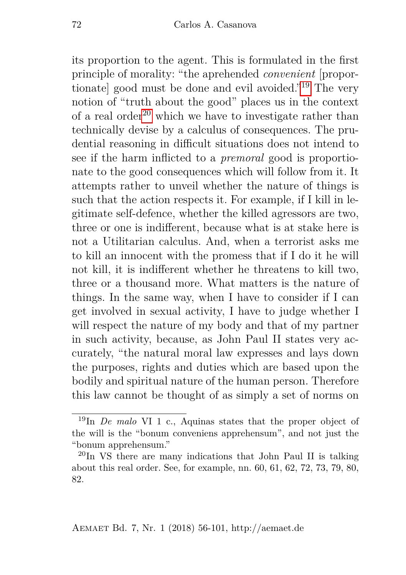its proportion to the agent. This is formulated in the first principle of morality: "the aprehended *convenient* [proportionate] good must be done and evil avoided."[19](#page-16-0) The very notion of "truth about the good" places us in the context of a real order<sup>[20](#page-16-1)</sup> which we have to investigate rather than technically devise by a calculus of consequences. The prudential reasoning in difficult situations does not intend to see if the harm inflicted to a *premoral* good is proportionate to the good consequences which will follow from it. It attempts rather to unveil whether the nature of things is such that the action respects it. For example, if I kill in legitimate self-defence, whether the killed agressors are two, three or one is indifferent, because what is at stake here is not a Utilitarian calculus. And, when a terrorist asks me to kill an innocent with the promess that if I do it he will not kill, it is indifferent whether he threatens to kill two, three or a thousand more. What matters is the nature of things. In the same way, when I have to consider if I can get involved in sexual activity, I have to judge whether I will respect the nature of my body and that of my partner in such activity, because, as John Paul II states very accurately, "the natural moral law expresses and lays down the purposes, rights and duties which are based upon the bodily and spiritual nature of the human person. Therefore this law cannot be thought of as simply a set of norms on

<span id="page-16-0"></span><sup>19</sup>In *De malo* VI 1 c., Aquinas states that the proper object of the will is the "bonum conveniens apprehensum", and not just the "bonum apprehensum."

<span id="page-16-1"></span> $^{20}$ In VS there are many indications that John Paul II is talking about this real order. See, for example, nn. 60, 61, 62, 72, 73, 79, 80, 82.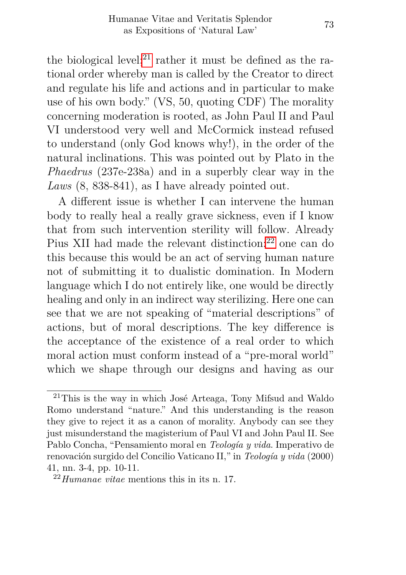the biological level;<sup>[21](#page-17-0)</sup> rather it must be defined as the rational order whereby man is called by the Creator to direct and regulate his life and actions and in particular to make use of his own body." (VS, 50, quoting CDF) The morality concerning moderation is rooted, as John Paul II and Paul VI understood very well and McCormick instead refused to understand (only God knows why!), in the order of the natural inclinations. This was pointed out by Plato in the *Phaedrus* (237e-238a) and in a superbly clear way in the *Laws* (8, 838-841), as I have already pointed out.

A different issue is whether I can intervene the human body to really heal a really grave sickness, even if I know that from such intervention sterility will follow. Already Pius XII had made the relevant distinction:<sup>[22](#page-17-1)</sup> one can do this because this would be an act of serving human nature not of submitting it to dualistic domination. In Modern language which I do not entirely like, one would be directly healing and only in an indirect way sterilizing. Here one can see that we are not speaking of "material descriptions" of actions, but of moral descriptions. The key difference is the acceptance of the existence of a real order to which moral action must conform instead of a "pre-moral world" which we shape through our designs and having as our

<span id="page-17-0"></span><sup>21</sup>This is the way in which José Arteaga, Tony Mifsud and Waldo Romo understand "nature." And this understanding is the reason they give to reject it as a canon of morality. Anybody can see they just misunderstand the magisterium of Paul VI and John Paul II. See Pablo Concha, "Pensamiento moral en *Teología y vida*. Imperativo de renovación surgido del Concilio Vaticano II," in *Teología y vida* (2000) 41, nn. 3-4, pp. 10-11.

<span id="page-17-1"></span><sup>22</sup>*Humanae vitae* mentions this in its n. 17.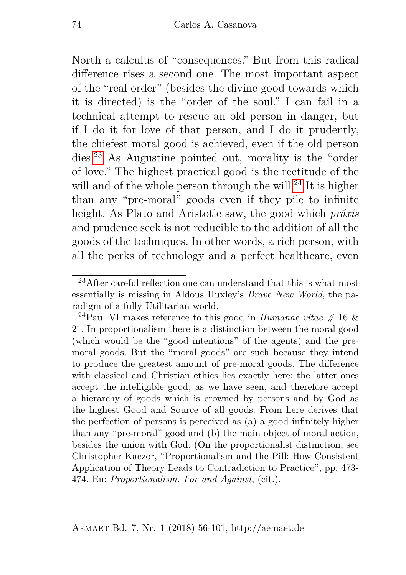North a calculus of "consequences." But from this radical difference rises a second one. The most important aspect of the "real order" (besides the divine good towards which it is directed) is the "order of the soul." I can fail in a technical attempt to rescue an old person in danger, but if I do it for love of that person, and I do it prudently, the chiefest moral good is achieved, even if the old person dies.[23](#page-18-0) As Augustine pointed out, morality is the "order of love." The highest practical good is the rectitude of the will and of the whole person through the will.<sup>[24](#page-18-1)</sup> It is higher than any "pre-moral" goods even if they pile to infinite height. As Plato and Aristotle saw, the good which *práxis* and prudence seek is not reducible to the addition of all the goods of the techniques. In other words, a rich person, with all the perks of technology and a perfect healthcare, even

<span id="page-18-0"></span> $23$ After careful reflection one can understand that this is what most essentially is missing in Aldous Huxley's *Brave New World*, the paradigm of a fully Utilitarian world.

<span id="page-18-1"></span><sup>&</sup>lt;sup>24</sup>Paul VI makes reference to this good in *Humanae vitae*  $\#$  16  $\&$ 21. In proportionalism there is a distinction between the moral good (which would be the "good intentions" of the agents) and the premoral goods. But the "moral goods" are such because they intend to produce the greatest amount of pre-moral goods. The difference with classical and Christian ethics lies exactly here: the latter ones accept the intelligible good, as we have seen, and therefore accept a hierarchy of goods which is crowned by persons and by God as the highest Good and Source of all goods. From here derives that the perfection of persons is perceived as (a) a good infinitely higher than any "pre-moral" good and (b) the main object of moral action, besides the union with God. (On the proportionalist distinction, see Christopher Kaczor, "Proportionalism and the Pill: How Consistent Application of Theory Leads to Contradiction to Practice", pp. 473- 474. En: *Proportionalism. For and Against*, (cit.).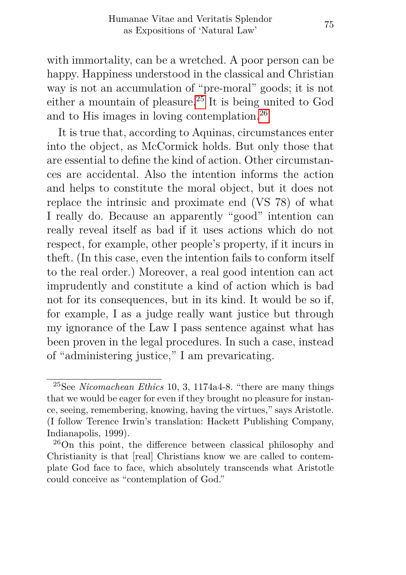with immortality, can be a wretched. A poor person can be happy. Happiness understood in the classical and Christian way is not an accumulation of "pre-moral" goods; it is not either a mountain of pleasure.[25](#page-19-0) It is being united to God and to His images in loving contemplation.[26](#page-19-1)

It is true that, according to Aquinas, circumstances enter into the object, as McCormick holds. But only those that are essential to define the kind of action. Other circumstances are accidental. Also the intention informs the action and helps to constitute the moral object, but it does not replace the intrinsic and proximate end (VS 78) of what I really do. Because an apparently "good" intention can really reveal itself as bad if it uses actions which do not respect, for example, other people's property, if it incurs in theft. (In this case, even the intention fails to conform itself to the real order.) Moreover, a real good intention can act imprudently and constitute a kind of action which is bad not for its consequences, but in its kind. It would be so if, for example, I as a judge really want justice but through my ignorance of the Law I pass sentence against what has been proven in the legal procedures. In such a case, instead of "administering justice," I am prevaricating.

<span id="page-19-0"></span><sup>25</sup>See *Nicomachean Ethics* 10, 3, 1174a4-8. "there are many things that we would be eager for even if they brought no pleasure for instance, seeing, remembering, knowing, having the virtues," says Aristotle. (I follow Terence Irwin's translation: Hackett Publishing Company, Indianapolis, 1999).

<span id="page-19-1"></span><sup>26</sup>On this point, the difference between classical philosophy and Christianity is that [real] Christians know we are called to contemplate God face to face, which absolutely transcends what Aristotle could conceive as "contemplation of God."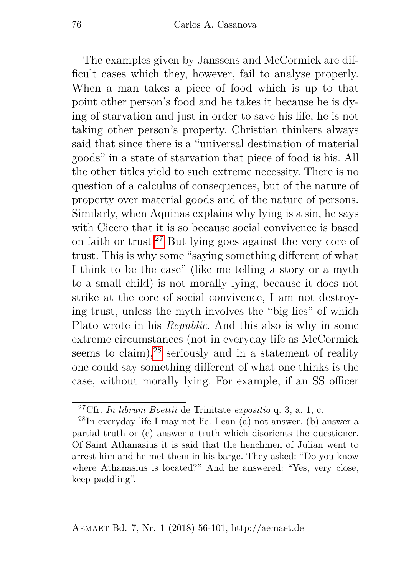The examples given by Janssens and McCormick are difficult cases which they, however, fail to analyse properly. When a man takes a piece of food which is up to that point other person's food and he takes it because he is dying of starvation and just in order to save his life, he is not taking other person's property. Christian thinkers always said that since there is a "universal destination of material goods" in a state of starvation that piece of food is his. All the other titles yield to such extreme necessity. There is no question of a calculus of consequences, but of the nature of property over material goods and of the nature of persons. Similarly, when Aquinas explains why lying is a sin, he says with Cicero that it is so because social convivence is based on faith or trust.[27](#page-20-0) But lying goes against the very core of trust. This is why some "saying something different of what I think to be the case" (like me telling a story or a myth to a small child) is not morally lying, because it does not strike at the core of social convivence, I am not destroying trust, unless the myth involves the "big lies" of which Plato wrote in his *Republic*. And this also is why in some extreme circumstances (not in everyday life as McCormick seems to claim),  $28$  seriously and in a statement of reality one could say something different of what one thinks is the case, without morally lying. For example, if an SS officer

<span id="page-20-1"></span><span id="page-20-0"></span><sup>27</sup>Cfr. *In librum Boettii* de Trinitate *expositio* q. 3, a. 1, c.

 $^{28}$ In everyday life I may not lie. I can (a) not answer, (b) answer a partial truth or (c) answer a truth which disorients the questioner. Of Saint Athanasius it is said that the henchmen of Julian went to arrest him and he met them in his barge. They asked: "Do you know where Athanasius is located?" And he answered: "Yes, very close, keep paddling".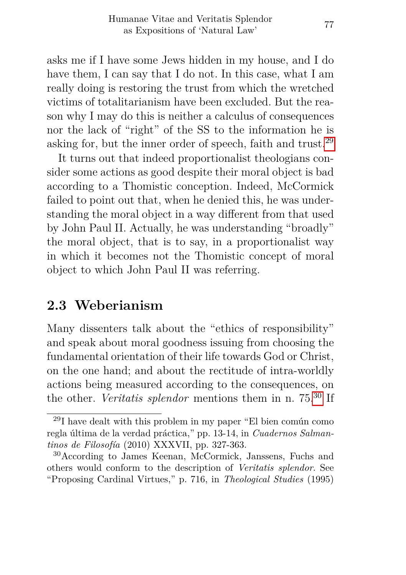asks me if I have some Jews hidden in my house, and I do have them, I can say that I do not. In this case, what I am really doing is restoring the trust from which the wretched victims of totalitarianism have been excluded. But the reason why I may do this is neither a calculus of consequences nor the lack of "right" of the SS to the information he is asking for, but the inner order of speech, faith and trust.[29](#page-21-0)

It turns out that indeed proportionalist theologians consider some actions as good despite their moral object is bad according to a Thomistic conception. Indeed, McCormick failed to point out that, when he denied this, he was understanding the moral object in a way different from that used by John Paul II. Actually, he was understanding "broadly" the moral object, that is to say, in a proportionalist way in which it becomes not the Thomistic concept of moral object to which John Paul II was referring.

## **2.3 Weberianism**

Many dissenters talk about the "ethics of responsibility" and speak about moral goodness issuing from choosing the fundamental orientation of their life towards God or Christ, on the one hand; and about the rectitude of intra-worldly actions being measured according to the consequences, on the other. *Veritatis splendor* mentions them in n. 75.[30](#page-21-1) If

<span id="page-21-0"></span><sup>29</sup>I have dealt with this problem in my paper "El bien común como regla última de la verdad práctica," pp. 13-14, in *Cuadernos Salmantinos de Filosofía* (2010) XXXVII, pp. 327-363.

<span id="page-21-1"></span><sup>30</sup>According to James Keenan, McCormick, Janssens, Fuchs and others would conform to the description of *Veritatis splendor*. See "Proposing Cardinal Virtues," p. 716, in *Theological Studies* (1995)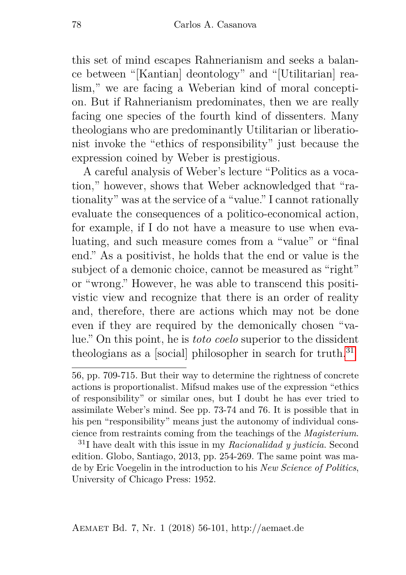this set of mind escapes Rahnerianism and seeks a balance between "[Kantian] deontology" and "[Utilitarian] realism," we are facing a Weberian kind of moral conception. But if Rahnerianism predominates, then we are really facing one species of the fourth kind of dissenters. Many theologians who are predominantly Utilitarian or liberationist invoke the "ethics of responsibility" just because the expression coined by Weber is prestigious.

A careful analysis of Weber's lecture "Politics as a vocation," however, shows that Weber acknowledged that "rationality" was at the service of a "value." I cannot rationally evaluate the consequences of a politico-economical action, for example, if I do not have a measure to use when evaluating, and such measure comes from a "value" or "final end." As a positivist, he holds that the end or value is the subject of a demonic choice, cannot be measured as "right" or "wrong." However, he was able to transcend this positivistic view and recognize that there is an order of reality and, therefore, there are actions which may not be done even if they are required by the demonically chosen "value." On this point, he is *toto coelo* superior to the dissident theologians as a [social] philosopher in search for truth.<sup>[31](#page-22-0)</sup>

<sup>56,</sup> pp. 709-715. But their way to determine the rightness of concrete actions is proportionalist. Mifsud makes use of the expression "ethics of responsibility" or similar ones, but I doubt he has ever tried to assimilate Weber's mind. See pp. 73-74 and 76. It is possible that in his pen "responsibility" means just the autonomy of individual conscience from restraints coming from the teachings of the *Magisterium*.

<span id="page-22-0"></span><sup>31</sup>I have dealt with this issue in my *Racionalidad y justicia*. Second edition. Globo, Santiago, 2013, pp. 254-269. The same point was made by Eric Voegelin in the introduction to his *New Science of Politics*, University of Chicago Press: 1952.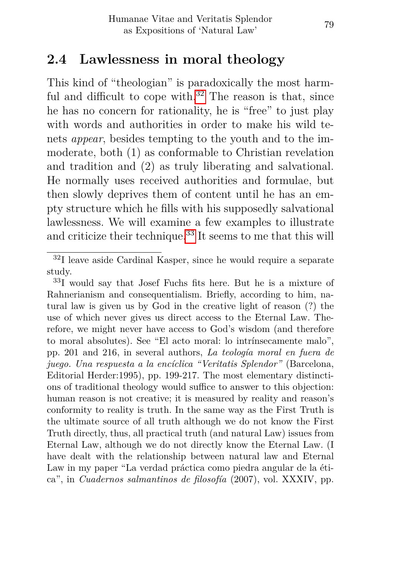## **2.4 Lawlessness in moral theology**

This kind of "theologian" is paradoxically the most harmful and difficult to cope with. $32$  The reason is that, since he has no concern for rationality, he is "free" to just play with words and authorities in order to make his wild tenets *appear*, besides tempting to the youth and to the immoderate, both (1) as conformable to Christian revelation and tradition and (2) as truly liberating and salvational. He normally uses received authorities and formulae, but then slowly deprives them of content until he has an empty structure which he fills with his supposedly salvational lawlessness. We will examine a few examples to illustrate and criticize their technique.<sup>[33](#page-23-1)</sup> It seems to me that this will

<span id="page-23-0"></span><sup>32</sup>I leave aside Cardinal Kasper, since he would require a separate study.

<span id="page-23-1"></span><sup>33</sup>I would say that Josef Fuchs fits here. But he is a mixture of Rahnerianism and consequentialism. Briefly, according to him, natural law is given us by God in the creative light of reason (?) the use of which never gives us direct access to the Eternal Law. Therefore, we might never have access to God's wisdom (and therefore to moral absolutes). See "El acto moral: lo intrínsecamente malo", pp. 201 and 216, in several authors, *La teología moral en fuera de juego. Una respuesta a la encíclica "Veritatis Splendor"* (Barcelona, Editorial Herder:1995), pp. 199-217. The most elementary distinctions of traditional theology would suffice to answer to this objection: human reason is not creative; it is measured by reality and reason's conformity to reality is truth. In the same way as the First Truth is the ultimate source of all truth although we do not know the First Truth directly, thus, all practical truth (and natural Law) issues from Eternal Law, although we do not directly know the Eternal Law. (I have dealt with the relationship between natural law and Eternal Law in my paper "La verdad práctica como piedra angular de la ética", in *Cuadernos salmantinos de filosofía* (2007), vol. XXXIV, pp.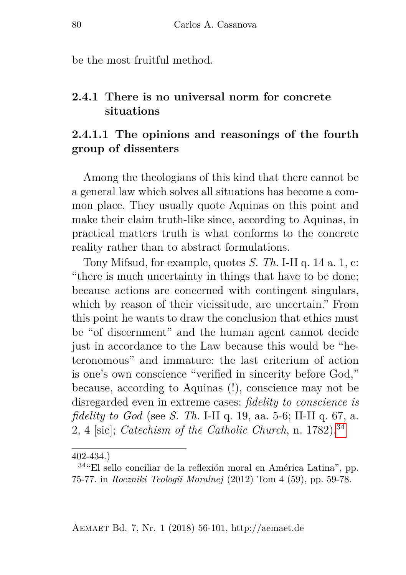be the most fruitful method.

#### **2.4.1 There is no universal norm for concrete situations**

#### **2.4.1.1 The opinions and reasonings of the fourth group of dissenters**

Among the theologians of this kind that there cannot be a general law which solves all situations has become a common place. They usually quote Aquinas on this point and make their claim truth-like since, according to Aquinas, in practical matters truth is what conforms to the concrete reality rather than to abstract formulations.

Tony Mifsud, for example, quotes *S. Th.* I-II q. 14 a. 1, c: "there is much uncertainty in things that have to be done; because actions are concerned with contingent singulars, which by reason of their vicissitude, are uncertain." From this point he wants to draw the conclusion that ethics must be "of discernment" and the human agent cannot decide just in accordance to the Law because this would be "heteronomous" and immature: the last criterium of action is one's own conscience "verified in sincerity before God," because, according to Aquinas (!), conscience may not be disregarded even in extreme cases: *fidelity to conscience is fidelity to God* (see *S. Th.* I-II q. 19, aa. 5-6; II-II q. 67, a. 2, 4 [sic]; *Catechism of the Catholic Church*, n. 1782).[34](#page-24-0)

<sup>402-434.)</sup>

<span id="page-24-0"></span><sup>34</sup>"El sello conciliar de la reflexión moral en América Latina", pp. 75-77. in *Roczniki Teologii Moralnej* (2012) Tom 4 (59), pp. 59-78.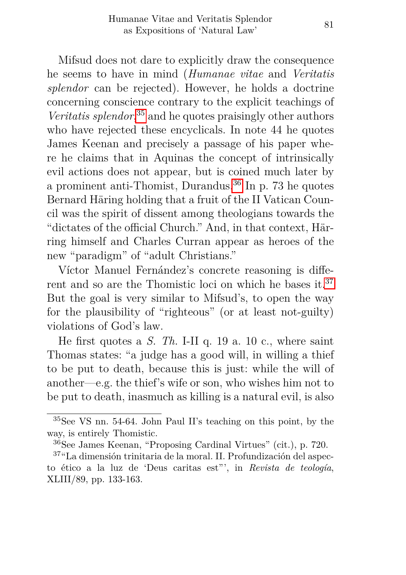Mifsud does not dare to explicitly draw the consequence he seems to have in mind (*Humanae vitae* and *Veritatis splendor* can be rejected). However, he holds a doctrine concerning conscience contrary to the explicit teachings of *Veritatis splendor*, [35](#page-25-0) and he quotes praisingly other authors who have rejected these encyclicals. In note 44 he quotes James Keenan and precisely a passage of his paper where he claims that in Aquinas the concept of intrinsically evil actions does not appear, but is coined much later by a prominent anti-Thomist, Durandus.[36](#page-25-1) In p. 73 he quotes Bernard Häring holding that a fruit of the II Vatican Council was the spirit of dissent among theologians towards the "dictates of the official Church." And, in that context, Härring himself and Charles Curran appear as heroes of the new "paradigm" of "adult Christians."

Víctor Manuel Fernández's concrete reasoning is different and so are the Thomistic loci on which he bases it.[37](#page-25-2) But the goal is very similar to Mifsud's, to open the way for the plausibility of "righteous" (or at least not-guilty) violations of God's law.

He first quotes a *S. Th.* I-II q. 19 a. 10 c., where saint Thomas states: "a judge has a good will, in willing a thief to be put to death, because this is just: while the will of another—e.g. the thief's wife or son, who wishes him not to be put to death, inasmuch as killing is a natural evil, is also

<span id="page-25-0"></span><sup>35</sup>See VS nn. 54-64. John Paul II's teaching on this point, by the way, is entirely Thomistic.

<span id="page-25-2"></span><span id="page-25-1"></span><sup>36</sup>See James Keenan, "Proposing Cardinal Virtues" (cit.), p. 720.

<sup>37</sup>"La dimensión trinitaria de la moral. II. Profundización del aspecto ético a la luz de 'Deus caritas est"', in *Revista de teología*, XLIII/89, pp. 133-163.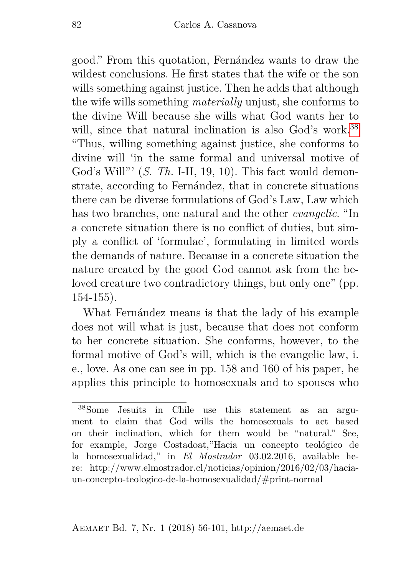good." From this quotation, Fernández wants to draw the wildest conclusions. He first states that the wife or the son wills something against justice. Then he adds that although the wife wills something *materially* unjust, she conforms to the divine Will because she wills what God wants her to will, since that natural inclination is also God's work.<sup>[38](#page-26-0)</sup> "Thus, willing something against justice, she conforms to divine will 'in the same formal and universal motive of God's Will"' (*S. Th.* I-II, 19, 10). This fact would demonstrate, according to Fernández, that in concrete situations there can be diverse formulations of God's Law, Law which has two branches, one natural and the other *evangelic*. "In a concrete situation there is no conflict of duties, but simply a conflict of 'formulae', formulating in limited words the demands of nature. Because in a concrete situation the nature created by the good God cannot ask from the beloved creature two contradictory things, but only one" (pp. 154-155).

What Fernández means is that the lady of his example does not will what is just, because that does not conform to her concrete situation. She conforms, however, to the formal motive of God's will, which is the evangelic law, i. e., love. As one can see in pp. 158 and 160 of his paper, he applies this principle to homosexuals and to spouses who

<span id="page-26-0"></span><sup>38</sup>Some Jesuits in Chile use this statement as an argument to claim that God wills the homosexuals to act based on their inclination, which for them would be "natural." See, for example, Jorge Costadoat,"Hacia un concepto teológico de la homosexualidad," in *El Mostrador* 03.02.2016, available here: http://www.elmostrador.cl/noticias/opinion/2016/02/03/haciaun-concepto-teologico-de-la-homosexualidad/#print-normal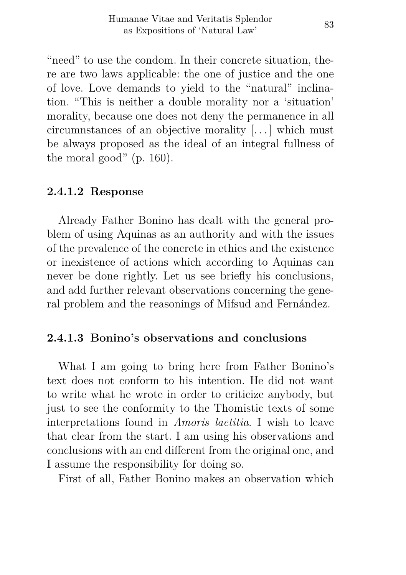"need" to use the condom. In their concrete situation, there are two laws applicable: the one of justice and the one of love. Love demands to yield to the "natural" inclination. "This is neither a double morality nor a 'situation' morality, because one does not deny the permanence in all circumnstances of an objective morality [. . . ] which must be always proposed as the ideal of an integral fullness of the moral good" (p. 160).

#### **2.4.1.2 Response**

Already Father Bonino has dealt with the general problem of using Aquinas as an authority and with the issues of the prevalence of the concrete in ethics and the existence or inexistence of actions which according to Aquinas can never be done rightly. Let us see briefly his conclusions, and add further relevant observations concerning the general problem and the reasonings of Mifsud and Fernández.

#### **2.4.1.3 Bonino's observations and conclusions**

What I am going to bring here from Father Bonino's text does not conform to his intention. He did not want to write what he wrote in order to criticize anybody, but just to see the conformity to the Thomistic texts of some interpretations found in *Amoris laetitia*. I wish to leave that clear from the start. I am using his observations and conclusions with an end different from the original one, and I assume the responsibility for doing so.

First of all, Father Bonino makes an observation which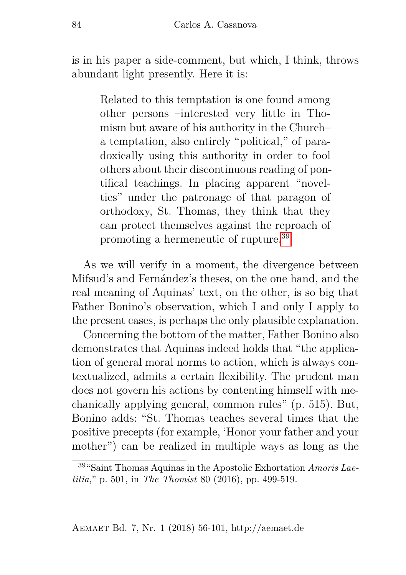is in his paper a side-comment, but which, I think, throws abundant light presently. Here it is:

Related to this temptation is one found among other persons –interested very little in Thomism but aware of his authority in the Church– a temptation, also entirely "political," of paradoxically using this authority in order to fool others about their discontinuous reading of pontifical teachings. In placing apparent "novelties" under the patronage of that paragon of orthodoxy, St. Thomas, they think that they can protect themselves against the reproach of promoting a hermeneutic of rupture.[39](#page-28-0)

As we will verify in a moment, the divergence between Mifsud's and Fernández's theses, on the one hand, and the real meaning of Aquinas' text, on the other, is so big that Father Bonino's observation, which I and only I apply to the present cases, is perhaps the only plausible explanation.

Concerning the bottom of the matter, Father Bonino also demonstrates that Aquinas indeed holds that "the application of general moral norms to action, which is always contextualized, admits a certain flexibility. The prudent man does not govern his actions by contenting himself with mechanically applying general, common rules" (p. 515). But, Bonino adds: "St. Thomas teaches several times that the positive precepts (for example, 'Honor your father and your mother") can be realized in multiple ways as long as the

<span id="page-28-0"></span><sup>39</sup>"Saint Thomas Aquinas in the Apostolic Exhortation *Amoris Laetitia*," p. 501, in *The Thomist* 80 (2016), pp. 499-519.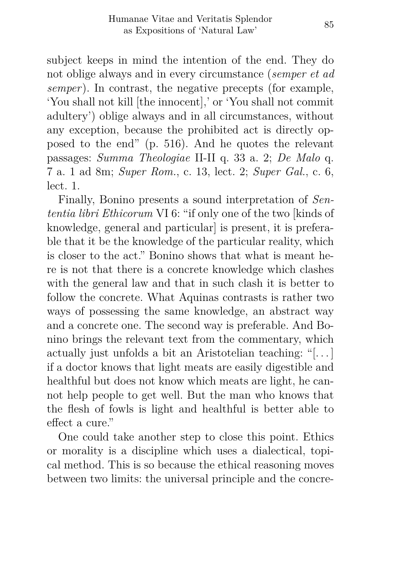subject keeps in mind the intention of the end. They do not oblige always and in every circumstance (*semper et ad semper*). In contrast, the negative precepts (for example, 'You shall not kill [the innocent],' or 'You shall not commit adultery') oblige always and in all circumstances, without any exception, because the prohibited act is directly opposed to the end" (p. 516). And he quotes the relevant passages: *Summa Theologiae* II-II q. 33 a. 2; *De Malo* q. 7 a. 1 ad 8m; *Super Rom.*, c. 13, lect. 2; *Super Gal.*, c. 6, lect. 1.

Finally, Bonino presents a sound interpretation of *Sententia libri Ethicorum* VI 6: "if only one of the two [kinds of knowledge, general and particularl is present, it is preferable that it be the knowledge of the particular reality, which is closer to the act." Bonino shows that what is meant here is not that there is a concrete knowledge which clashes with the general law and that in such clash it is better to follow the concrete. What Aquinas contrasts is rather two ways of possessing the same knowledge, an abstract way and a concrete one. The second way is preferable. And Bonino brings the relevant text from the commentary, which actually just unfolds a bit an Aristotelian teaching: "[. . . ] if a doctor knows that light meats are easily digestible and healthful but does not know which meats are light, he cannot help people to get well. But the man who knows that the flesh of fowls is light and healthful is better able to effect a cure."

One could take another step to close this point. Ethics or morality is a discipline which uses a dialectical, topical method. This is so because the ethical reasoning moves between two limits: the universal principle and the concre-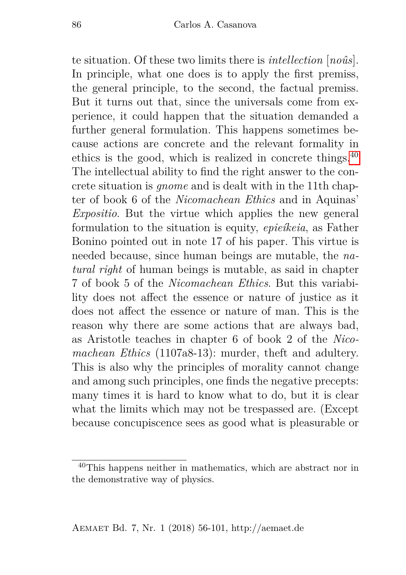te situation. Of these two limits there is *intellection* [*noûs*]. In principle, what one does is to apply the first premiss, the general principle, to the second, the factual premiss. But it turns out that, since the universals come from experience, it could happen that the situation demanded a further general formulation. This happens sometimes because actions are concrete and the relevant formality in ethics is the good, which is realized in concrete things.[40](#page-30-0) The intellectual ability to find the right answer to the concrete situation is *gnome* and is dealt with in the 11th chapter of book 6 of the *Nicomachean Ethics* and in Aquinas' *Expositio*. But the virtue which applies the new general formulation to the situation is equity, *epieíkeia*, as Father Bonino pointed out in note 17 of his paper. This virtue is needed because, since human beings are mutable, the *natural right* of human beings is mutable, as said in chapter 7 of book 5 of the *Nicomachean Ethics*. But this variability does not affect the essence or nature of justice as it does not affect the essence or nature of man. This is the reason why there are some actions that are always bad, as Aristotle teaches in chapter 6 of book 2 of the *Nicomachean Ethics* (1107a8-13): murder, theft and adultery. This is also why the principles of morality cannot change and among such principles, one finds the negative precepts: many times it is hard to know what to do, but it is clear what the limits which may not be trespassed are. (Except because concupiscence sees as good what is pleasurable or

<span id="page-30-0"></span><sup>40</sup>This happens neither in mathematics, which are abstract nor in the demonstrative way of physics.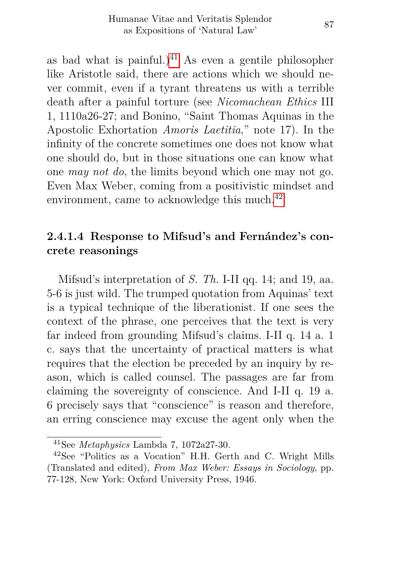as bad what is painful.)<sup>[41](#page-31-0)</sup> As even a gentile philosopher like Aristotle said, there are actions which we should never commit, even if a tyrant threatens us with a terrible death after a painful torture (see *Nicomachean Ethics* III 1, 1110a26-27; and Bonino, "Saint Thomas Aquinas in the Apostolic Exhortation *Amoris Laetitia*," note 17). In the infinity of the concrete sometimes one does not know what one should do, but in those situations one can know what one *may not do*, the limits beyond which one may not go. Even Max Weber, coming from a positivistic mindset and environment, came to acknowledge this much.<sup>[42](#page-31-1)</sup>

#### **2.4.1.4 Response to Mifsud's and Fernández's concrete reasonings**

Mifsud's interpretation of *S. Th.* I-II qq. 14; and 19, aa. 5-6 is just wild. The trumped quotation from Aquinas' text is a typical technique of the liberationist. If one sees the context of the phrase, one perceives that the text is very far indeed from grounding Mifsud's claims. I-II q. 14 a. 1 c. says that the uncertainty of practical matters is what requires that the election be preceded by an inquiry by reason, which is called counsel. The passages are far from claiming the sovereignty of conscience. And I-II q. 19 a. 6 precisely says that "conscience" is reason and therefore, an erring conscience may excuse the agent only when the

<span id="page-31-1"></span><span id="page-31-0"></span><sup>41</sup>See *Metaphysics* Lambda 7, 1072a27-30.

<sup>42</sup>See "Politics as a Vocation" H.H. Gerth and C. Wright Mills (Translated and edited), *From Max Weber: Essays in Sociology*, pp. 77-128, New York: Oxford University Press, 1946.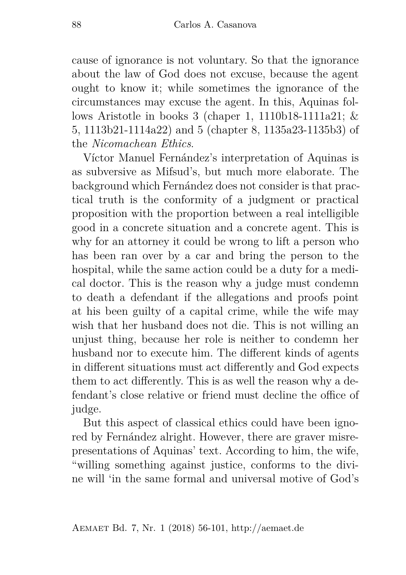cause of ignorance is not voluntary. So that the ignorance about the law of God does not excuse, because the agent ought to know it; while sometimes the ignorance of the circumstances may excuse the agent. In this, Aquinas follows Aristotle in books 3 (chaper 1, 1110b18-1111a21;  $\&$ 5, 1113b21-1114a22) and 5 (chapter 8, 1135a23-1135b3) of the *Nicomachean Ethics*.

Víctor Manuel Fernández's interpretation of Aquinas is as subversive as Mifsud's, but much more elaborate. The background which Fernández does not consider is that practical truth is the conformity of a judgment or practical proposition with the proportion between a real intelligible good in a concrete situation and a concrete agent. This is why for an attorney it could be wrong to lift a person who has been ran over by a car and bring the person to the hospital, while the same action could be a duty for a medical doctor. This is the reason why a judge must condemn to death a defendant if the allegations and proofs point at his been guilty of a capital crime, while the wife may wish that her husband does not die. This is not willing an unjust thing, because her role is neither to condemn her husband nor to execute him. The different kinds of agents in different situations must act differently and God expects them to act differently. This is as well the reason why a defendant's close relative or friend must decline the office of judge.

But this aspect of classical ethics could have been ignored by Fernández alright. However, there are graver misrepresentations of Aquinas' text. According to him, the wife, "willing something against justice, conforms to the divine will 'in the same formal and universal motive of God's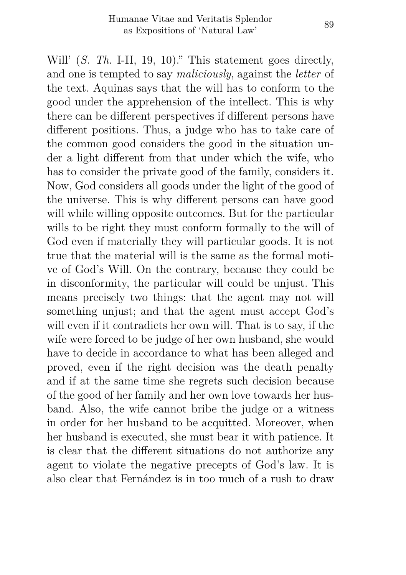Will' *(S. Th.* I-II, 19, 10)." This statement goes directly, and one is tempted to say *maliciously*, against the *letter* of the text. Aquinas says that the will has to conform to the good under the apprehension of the intellect. This is why there can be different perspectives if different persons have different positions. Thus, a judge who has to take care of the common good considers the good in the situation under a light different from that under which the wife, who has to consider the private good of the family, considers it. Now, God considers all goods under the light of the good of the universe. This is why different persons can have good will while willing opposite outcomes. But for the particular wills to be right they must conform formally to the will of God even if materially they will particular goods. It is not true that the material will is the same as the formal motive of God's Will. On the contrary, because they could be in disconformity, the particular will could be unjust. This means precisely two things: that the agent may not will something unjust; and that the agent must accept God's will even if it contradicts her own will. That is to say, if the wife were forced to be judge of her own husband, she would have to decide in accordance to what has been alleged and proved, even if the right decision was the death penalty and if at the same time she regrets such decision because of the good of her family and her own love towards her husband. Also, the wife cannot bribe the judge or a witness in order for her husband to be acquitted. Moreover, when her husband is executed, she must bear it with patience. It is clear that the different situations do not authorize any agent to violate the negative precepts of God's law. It is also clear that Fernández is in too much of a rush to draw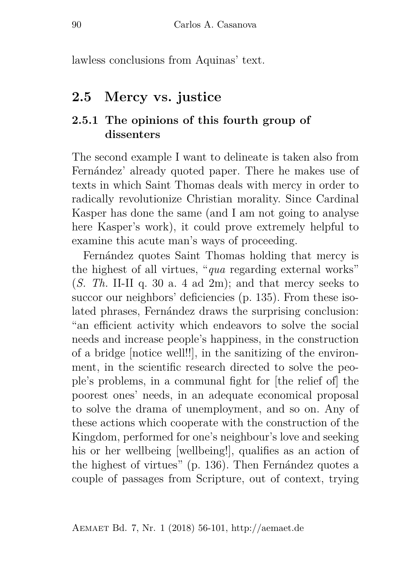lawless conclusions from Aquinas' text.

## **2.5 Mercy vs. justice**

#### **2.5.1 The opinions of this fourth group of dissenters**

The second example I want to delineate is taken also from Fernández' already quoted paper. There he makes use of texts in which Saint Thomas deals with mercy in order to radically revolutionize Christian morality. Since Cardinal Kasper has done the same (and I am not going to analyse here Kasper's work), it could prove extremely helpful to examine this acute man's ways of proceeding.

Fernández quotes Saint Thomas holding that mercy is the highest of all virtues, "*qua* regarding external works" (*S. Th.* II-II q. 30 a. 4 ad 2m); and that mercy seeks to succor our neighbors' deficiencies (p. 135). From these isolated phrases, Fernández draws the surprising conclusion: "an efficient activity which endeavors to solve the social needs and increase people's happiness, in the construction of a bridge [notice well!!], in the sanitizing of the environment, in the scientific research directed to solve the people's problems, in a communal fight for [the relief of] the poorest ones' needs, in an adequate economical proposal to solve the drama of unemployment, and so on. Any of these actions which cooperate with the construction of the Kingdom, performed for one's neighbour's love and seeking his or her wellbeing [wellbeing!], qualifies as an action of the highest of virtues" (p. 136). Then Fernández quotes a couple of passages from Scripture, out of context, trying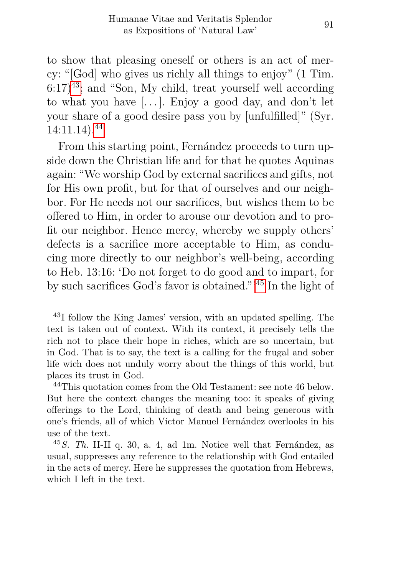to show that pleasing oneself or others is an act of mercy: "[God] who gives us richly all things to enjoy" (1 Tim.  $6:17$ <sup>[43](#page-35-0)</sup>; and "Son, My child, treat yourself well according to what you have  $[\,\ldots\,]$ . Enjoy a good day, and don't let your share of a good desire pass you by [unfulfilled]" (Syr. 14:11.14).[44](#page-35-1)

From this starting point, Fernández proceeds to turn upside down the Christian life and for that he quotes Aquinas again: "We worship God by external sacrifices and gifts, not for His own profit, but for that of ourselves and our neighbor. For He needs not our sacrifices, but wishes them to be offered to Him, in order to arouse our devotion and to profit our neighbor. Hence mercy, whereby we supply others' defects is a sacrifice more acceptable to Him, as conducing more directly to our neighbor's well-being, according to Heb. 13:16: 'Do not forget to do good and to impart, for by such sacrifices God's favor is obtained."'[45](#page-35-2) In the light of

<span id="page-35-0"></span><sup>43</sup>I follow the King James' version, with an updated spelling. The text is taken out of context. With its context, it precisely tells the rich not to place their hope in riches, which are so uncertain, but in God. That is to say, the text is a calling for the frugal and sober life wich does not unduly worry about the things of this world, but places its trust in God.

<span id="page-35-1"></span><sup>44</sup>This quotation comes from the Old Testament: see note 46 below. But here the context changes the meaning too: it speaks of giving offerings to the Lord, thinking of death and being generous with one's friends, all of which Víctor Manuel Fernández overlooks in his use of the text.

<span id="page-35-2"></span><sup>45</sup>*S. Th.* II-II q. 30, a. 4, ad 1m. Notice well that Fernández, as usual, suppresses any reference to the relationship with God entailed in the acts of mercy. Here he suppresses the quotation from Hebrews, which I left in the text.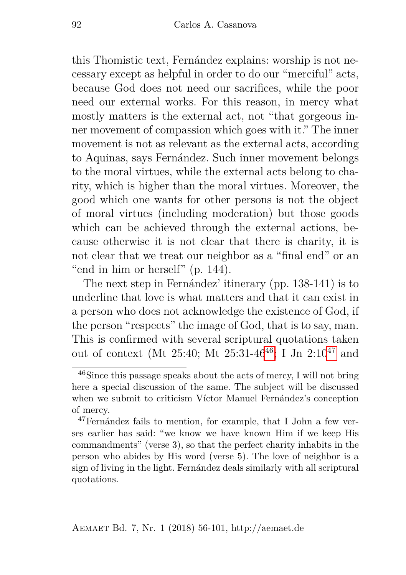this Thomistic text, Fernández explains: worship is not necessary except as helpful in order to do our "merciful" acts, because God does not need our sacrifices, while the poor need our external works. For this reason, in mercy what mostly matters is the external act, not "that gorgeous inner movement of compassion which goes with it." The inner movement is not as relevant as the external acts, according to Aquinas, says Fernández. Such inner movement belongs to the moral virtues, while the external acts belong to charity, which is higher than the moral virtues. Moreover, the good which one wants for other persons is not the object of moral virtues (including moderation) but those goods which can be achieved through the external actions, because otherwise it is not clear that there is charity, it is not clear that we treat our neighbor as a "final end" or an "end in him or herself" (p. 144).

The next step in Fernández' itinerary (pp. 138-141) is to underline that love is what matters and that it can exist in a person who does not acknowledge the existence of God, if the person "respects" the image of God, that is to say, man. This is confirmed with several scriptural quotations taken out of context (Mt 25:40; Mt 25:31-[46](#page-36-0)<sup>46</sup>; I Jn  $2:10^{47}$  $2:10^{47}$  $2:10^{47}$  and

<span id="page-36-0"></span><sup>46</sup>Since this passage speaks about the acts of mercy, I will not bring here a special discussion of the same. The subject will be discussed when we submit to criticism Víctor Manuel Fernández's conception of mercy.

<span id="page-36-1"></span><sup>47</sup>Fernández fails to mention, for example, that I John a few verses earlier has said: "we know we have known Him if we keep His commandments" (verse 3), so that the perfect charity inhabits in the person who abides by His word (verse 5). The love of neighbor is a sign of living in the light. Fernández deals similarly with all scriptural quotations.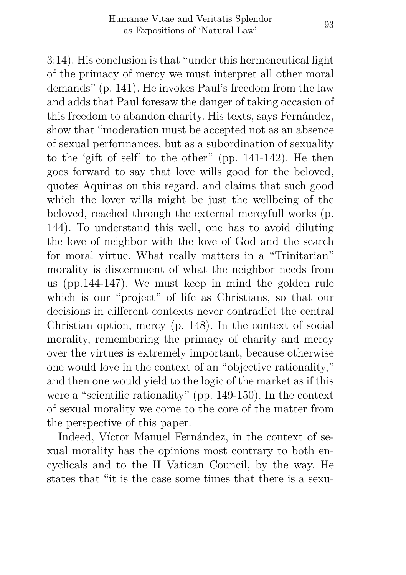3:14). His conclusion is that "under this hermeneutical light of the primacy of mercy we must interpret all other moral demands" (p. 141). He invokes Paul's freedom from the law and adds that Paul foresaw the danger of taking occasion of this freedom to abandon charity. His texts, says Fernández, show that "moderation must be accepted not as an absence of sexual performances, but as a subordination of sexuality to the 'gift of self' to the other" (pp. 141-142). He then goes forward to say that love wills good for the beloved, quotes Aquinas on this regard, and claims that such good which the lover wills might be just the wellbeing of the beloved, reached through the external mercyfull works (p. 144). To understand this well, one has to avoid diluting the love of neighbor with the love of God and the search for moral virtue. What really matters in a "Trinitarian" morality is discernment of what the neighbor needs from us (pp.144-147). We must keep in mind the golden rule which is our "project" of life as Christians, so that our decisions in different contexts never contradict the central Christian option, mercy (p. 148). In the context of social morality, remembering the primacy of charity and mercy over the virtues is extremely important, because otherwise one would love in the context of an "objective rationality," and then one would yield to the logic of the market as if this were a "scientific rationality" (pp. 149-150). In the context of sexual morality we come to the core of the matter from the perspective of this paper.

Indeed, Víctor Manuel Fernández, in the context of sexual morality has the opinions most contrary to both encyclicals and to the II Vatican Council, by the way. He states that "it is the case some times that there is a sexu-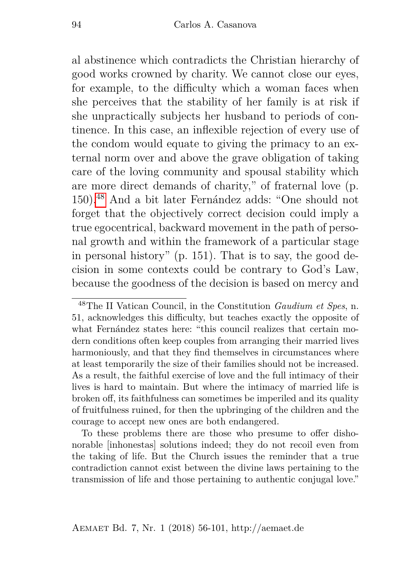al abstinence which contradicts the Christian hierarchy of good works crowned by charity. We cannot close our eyes, for example, to the difficulty which a woman faces when she perceives that the stability of her family is at risk if she unpractically subjects her husband to periods of continence. In this case, an inflexible rejection of every use of the condom would equate to giving the primacy to an external norm over and above the grave obligation of taking care of the loving community and spousal stability which are more direct demands of charity," of fraternal love (p. 150).[48](#page-38-0) And a bit later Fernández adds: "One should not forget that the objectively correct decision could imply a true egocentrical, backward movement in the path of personal growth and within the framework of a particular stage in personal history" (p. 151). That is to say, the good decision in some contexts could be contrary to God's Law, because the goodness of the decision is based on mercy and

<span id="page-38-0"></span><sup>48</sup>The II Vatican Council, in the Constitution *Gaudium et Spes*, n. 51, acknowledges this difficulty, but teaches exactly the opposite of what Fernández states here: "this council realizes that certain modern conditions often keep couples from arranging their married lives harmoniously, and that they find themselves in circumstances where at least temporarily the size of their families should not be increased. As a result, the faithful exercise of love and the full intimacy of their lives is hard to maintain. But where the intimacy of married life is broken off, its faithfulness can sometimes be imperiled and its quality of fruitfulness ruined, for then the upbringing of the children and the courage to accept new ones are both endangered.

To these problems there are those who presume to offer dishonorable [inhonestas] solutions indeed; they do not recoil even from the taking of life. But the Church issues the reminder that a true contradiction cannot exist between the divine laws pertaining to the transmission of life and those pertaining to authentic conjugal love."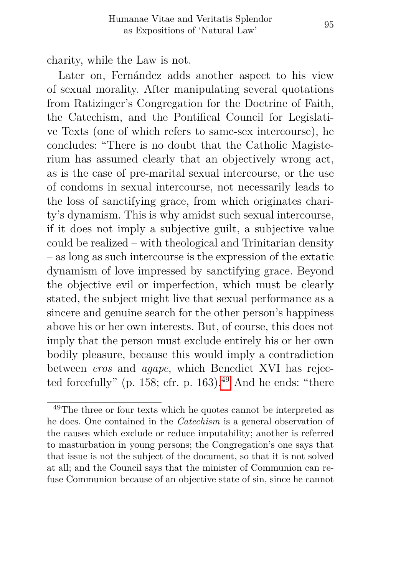charity, while the Law is not.

Later on, Fernández adds another aspect to his view of sexual morality. After manipulating several quotations from Ratizinger's Congregation for the Doctrine of Faith, the Catechism, and the Pontifical Council for Legislative Texts (one of which refers to same-sex intercourse), he concludes: "There is no doubt that the Catholic Magisterium has assumed clearly that an objectively wrong act, as is the case of pre-marital sexual intercourse, or the use of condoms in sexual intercourse, not necessarily leads to the loss of sanctifying grace, from which originates charity's dynamism. This is why amidst such sexual intercourse, if it does not imply a subjective guilt, a subjective value could be realized – with theological and Trinitarian density – as long as such intercourse is the expression of the extatic dynamism of love impressed by sanctifying grace. Beyond the objective evil or imperfection, which must be clearly stated, the subject might live that sexual performance as a sincere and genuine search for the other person's happiness above his or her own interests. But, of course, this does not imply that the person must exclude entirely his or her own bodily pleasure, because this would imply a contradiction between *eros* and *agape*, which Benedict XVI has rejected forcefully" (p. 158; cfr. p. 163). $49$  And he ends: "there

<span id="page-39-0"></span><sup>49</sup>The three or four texts which he quotes cannot be interpreted as he does. One contained in the *Catechism* is a general observation of the causes which exclude or reduce imputability; another is referred to masturbation in young persons; the Congregation's one says that that issue is not the subject of the document, so that it is not solved at all; and the Council says that the minister of Communion can refuse Communion because of an objective state of sin, since he cannot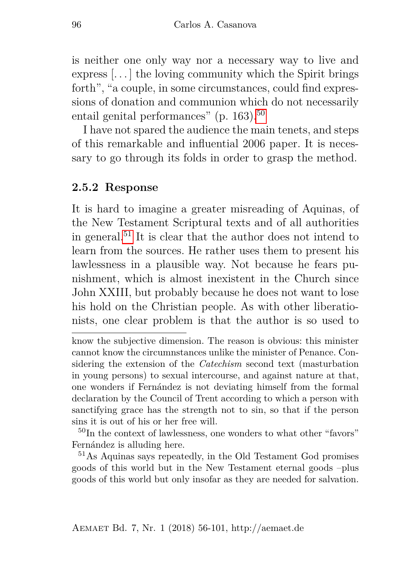is neither one only way nor a necessary way to live and express [. . . ] the loving community which the Spirit brings forth", "a couple, in some circumstances, could find expressions of donation and communion which do not necessarily entail genital performances" (p.  $163$ ).<sup>[50](#page-40-0)</sup>

I have not spared the audience the main tenets, and steps of this remarkable and influential 2006 paper. It is necessary to go through its folds in order to grasp the method.

#### **2.5.2 Response**

It is hard to imagine a greater misreading of Aquinas, of the New Testament Scriptural texts and of all authorities in general.<sup>[51](#page-40-1)</sup> It is clear that the author does not intend to learn from the sources. He rather uses them to present his lawlessness in a plausible way. Not because he fears punishment, which is almost inexistent in the Church since John XXIII, but probably because he does not want to lose his hold on the Christian people. As with other liberationists, one clear problem is that the author is so used to

<span id="page-40-0"></span><sup>50</sup>In the context of lawlessness, one wonders to what other "favors" Fernández is alluding here.

<span id="page-40-1"></span><sup>51</sup>As Aquinas says repeatedly, in the Old Testament God promises goods of this world but in the New Testament eternal goods –plus goods of this world but only insofar as they are needed for salvation.

know the subjective dimension. The reason is obvious: this minister cannot know the circumnstances unlike the minister of Penance. Considering the extension of the *Catechism* second text (masturbation in young persons) to sexual intercourse, and against nature at that, one wonders if Fernández is not deviating himself from the formal declaration by the Council of Trent according to which a person with sanctifying grace has the strength not to sin, so that if the person sins it is out of his or her free will.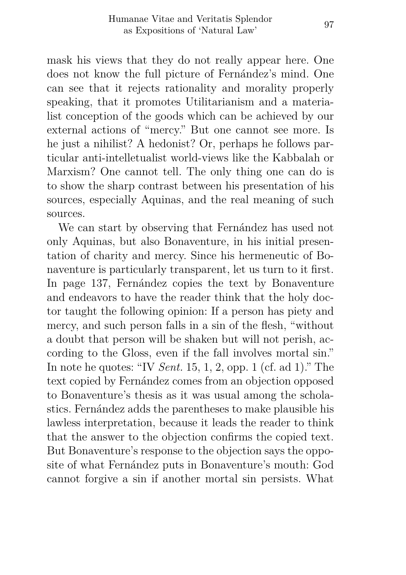mask his views that they do not really appear here. One does not know the full picture of Fernández's mind. One can see that it rejects rationality and morality properly speaking, that it promotes Utilitarianism and a materialist conception of the goods which can be achieved by our external actions of "mercy." But one cannot see more. Is he just a nihilist? A hedonist? Or, perhaps he follows particular anti-intelletualist world-views like the Kabbalah or Marxism? One cannot tell. The only thing one can do is to show the sharp contrast between his presentation of his sources, especially Aquinas, and the real meaning of such sources.

We can start by observing that Fernández has used not only Aquinas, but also Bonaventure, in his initial presentation of charity and mercy. Since his hermeneutic of Bonaventure is particularly transparent, let us turn to it first. In page 137, Fernández copies the text by Bonaventure and endeavors to have the reader think that the holy doctor taught the following opinion: If a person has piety and mercy, and such person falls in a sin of the flesh, "without a doubt that person will be shaken but will not perish, according to the Gloss, even if the fall involves mortal sin." In note he quotes: "IV *Sent.* 15, 1, 2, opp. 1 (cf. ad 1)." The text copied by Fernández comes from an objection opposed to Bonaventure's thesis as it was usual among the scholastics. Fernández adds the parentheses to make plausible his lawless interpretation, because it leads the reader to think that the answer to the objection confirms the copied text. But Bonaventure's response to the objection says the opposite of what Fernández puts in Bonaventure's mouth: God cannot forgive a sin if another mortal sin persists. What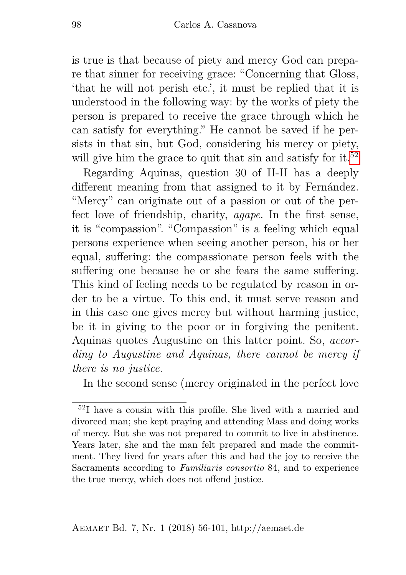is true is that because of piety and mercy God can prepare that sinner for receiving grace: "Concerning that Gloss, 'that he will not perish etc.', it must be replied that it is understood in the following way: by the works of piety the person is prepared to receive the grace through which he can satisfy for everything." He cannot be saved if he persists in that sin, but God, considering his mercy or piety, will give him the grace to quit that  $\sin$  and satisfy for it.<sup>[52](#page-42-0)</sup>

Regarding Aquinas, question 30 of II-II has a deeply different meaning from that assigned to it by Fernández. "Mercy" can originate out of a passion or out of the perfect love of friendship, charity, *agape*. In the first sense, it is "compassion". "Compassion" is a feeling which equal persons experience when seeing another person, his or her equal, suffering: the compassionate person feels with the suffering one because he or she fears the same suffering. This kind of feeling needs to be regulated by reason in order to be a virtue. To this end, it must serve reason and in this case one gives mercy but without harming justice, be it in giving to the poor or in forgiving the penitent. Aquinas quotes Augustine on this latter point. So, *according to Augustine and Aquinas, there cannot be mercy if there is no justice.*

In the second sense (mercy originated in the perfect love

<span id="page-42-0"></span><sup>52</sup>I have a cousin with this profile. She lived with a married and divorced man; she kept praying and attending Mass and doing works of mercy. But she was not prepared to commit to live in abstinence. Years later, she and the man felt prepared and made the commitment. They lived for years after this and had the joy to receive the Sacraments according to *Familiaris consortio* 84, and to experience the true mercy, which does not offend justice.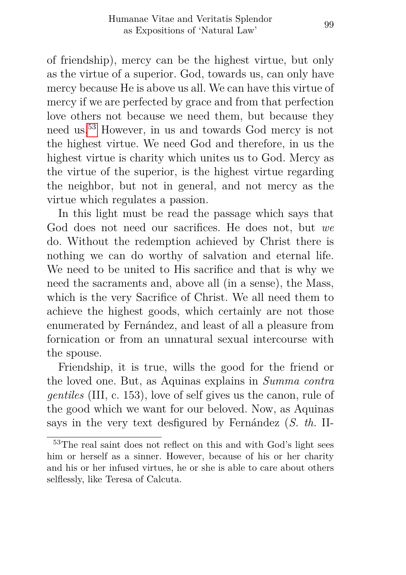of friendship), mercy can be the highest virtue, but only as the virtue of a superior. God, towards us, can only have mercy because He is above us all. We can have this virtue of mercy if we are perfected by grace and from that perfection love others not because we need them, but because they need us.[53](#page-43-0) However, in us and towards God mercy is not the highest virtue. We need God and therefore, in us the highest virtue is charity which unites us to God. Mercy as the virtue of the superior, is the highest virtue regarding the neighbor, but not in general, and not mercy as the virtue which regulates a passion.

In this light must be read the passage which says that God does not need our sacrifices. He does not, but *we* do. Without the redemption achieved by Christ there is nothing we can do worthy of salvation and eternal life. We need to be united to His sacrifice and that is why we need the sacraments and, above all (in a sense), the Mass, which is the very Sacrifice of Christ. We all need them to achieve the highest goods, which certainly are not those enumerated by Fernández, and least of all a pleasure from fornication or from an unnatural sexual intercourse with the spouse.

Friendship, it is true, wills the good for the friend or the loved one. But, as Aquinas explains in *Summa contra gentiles* (III, c. 153), love of self gives us the canon, rule of the good which we want for our beloved. Now, as Aquinas says in the very text desfigured by Fernández (*S. th.* II-

<span id="page-43-0"></span><sup>53</sup>The real saint does not reflect on this and with God's light sees him or herself as a sinner. However, because of his or her charity and his or her infused virtues, he or she is able to care about others selflessly, like Teresa of Calcuta.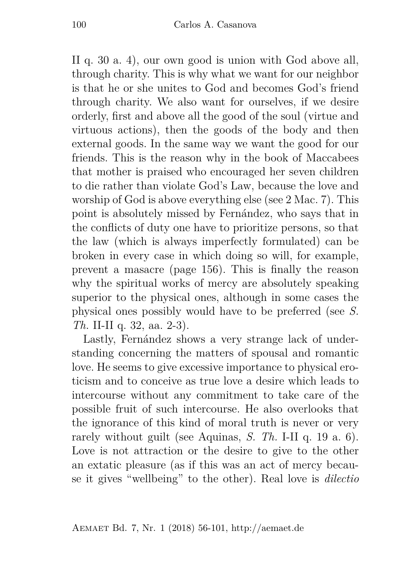II q. 30 a. 4), our own good is union with God above all, through charity. This is why what we want for our neighbor is that he or she unites to God and becomes God's friend through charity. We also want for ourselves, if we desire orderly, first and above all the good of the soul (virtue and virtuous actions), then the goods of the body and then external goods. In the same way we want the good for our friends. This is the reason why in the book of Maccabees that mother is praised who encouraged her seven children to die rather than violate God's Law, because the love and worship of God is above everything else (see 2 Mac. 7). This point is absolutely missed by Fernández, who says that in the conflicts of duty one have to prioritize persons, so that the law (which is always imperfectly formulated) can be broken in every case in which doing so will, for example, prevent a masacre (page 156). This is finally the reason why the spiritual works of mercy are absolutely speaking superior to the physical ones, although in some cases the physical ones possibly would have to be preferred (see *S. Th.* II-II q. 32, aa. 2-3).

Lastly, Fernández shows a very strange lack of understanding concerning the matters of spousal and romantic love. He seems to give excessive importance to physical eroticism and to conceive as true love a desire which leads to intercourse without any commitment to take care of the possible fruit of such intercourse. He also overlooks that the ignorance of this kind of moral truth is never or very rarely without guilt (see Aquinas, *S. Th.* I-II q. 19 a. 6). Love is not attraction or the desire to give to the other an extatic pleasure (as if this was an act of mercy because it gives "wellbeing" to the other). Real love is *dilectio*